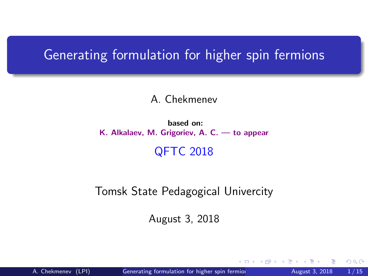#### <span id="page-0-0"></span>Generating formulation for higher spin fermions

#### A. Chekmenev

#### based on: K. Alkalaev, M. Grigoriev, A. C. — to appear

#### QFTC 2018

#### Tomsk State Pedagogical Univercity

August 3, 2018

 $299$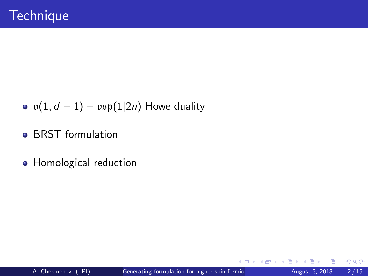- $\circ$   $o(1, d 1) osp(1|2n)$  Howe duality
- **BRST formulation**
- Homological reduction

Þ

4 **D F** 

34 B

 $299$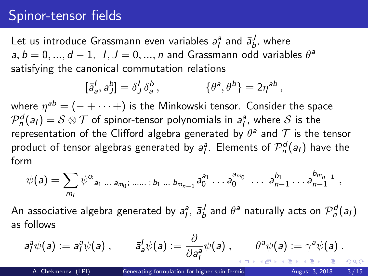### Spinor-tensor fields

Let us introduce Grassmann even variables  $a_l^a$  and  $\bar{a}_b^J$ , where  $a, b = 0, ..., d - 1, I, J = 0, ..., n$  and Grassmann odd variables  $\theta^a$ satisfying the canonical commutation relations

$$
[\bar{a}_a^I, a_J^b] = \delta_J^I \delta_a^b, \qquad \{\theta^a, \theta^b\} = 2\eta^{ab} ,
$$

where  $\eta^{\textit{ab}} = (- + \cdots +)$  is the Minkowski tensor. Consider the space  $\mathcal{P}^{\bm{d}}_n(a_l) = \mathcal{S} \otimes \mathcal{T}$  of spinor-tensor polynomials in  $a_l^a$ , where  $\mathcal{S}$  is the representation of the Clifford algebra generated by  $\theta^{\mathsf{a}}$  and  $\mathcal T$  is the tensor product of tensor algebras generated by  $a_l^a$ . Elements of  ${\cal P}_n^d(a_l)$  have the form

$$
\psi(a) = \sum_{m_1} \psi^{\alpha}{}_{a_1 \ldots a_{m_0}; \, \ldots \ldots ; b_1 \ldots b_{m_{n-1}}} a_0^{a_1} \ldots a_0^{a_{m_0}} \ldots a_{n-1}^{b_1} \ldots a_{n-1}^{b_{m_{n-1}}},
$$

An associative algebra generated by  $a^a_l$ ,  $\bar a^J_b$  and  $\theta^a$  naturally acts on  ${\cal P}^d_n(a_l)$ as follows

$$
a_1^a \psi(a) := a_1^a \psi(a) , \qquad \bar{a}_a^l \psi(a) := \frac{\partial}{\partial a_1^a} \psi(a) , \qquad \theta^a \psi(a) := \gamma^a \psi(a) .
$$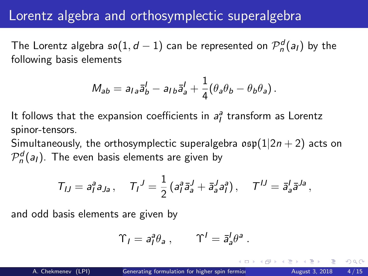### Lorentz algebra and orthosymplectic superalgebra

The Lorentz algebra  $\mathfrak{so}(1,d-1)$  can be represented on  ${\mathcal P}_n^d(a_l)$  by the following basis elements

$$
M_{ab}=a_{la}\bar{a}_{b}^{l}-a_{Ib}\bar{a}_{a}^{l}+\frac{1}{4}(\theta_{a}\theta_{b}-\theta_{b}\theta_{a}).
$$

It follows that the expansion coefficients in  $a^a_j$  transform as Lorentz spinor-tensors.

Simultaneously, the orthosymplectic superalgebra  $\sigma$ sp $(1|2n+2)$  acts on  $\mathcal{P}^{d}_{n}(a_{I}).$  The even basis elements are given by

$$
T_{IJ}=a_I^a a_{Ja}, \quad T_I^J=\frac{1}{2}(a_I^a \bar{a}_a^J+\bar{a}_a^J a_I^a), \quad T^{IJ}=\bar{a}_a^I \bar{a}^{Ja},
$$

and odd basis elements are given by

$$
\Upsilon_I = a_I^a \theta_a \,, \qquad \Upsilon^I = \bar{a}_a^I \theta^a \,.
$$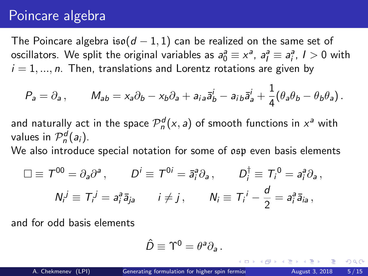## Poincare algebra

The Poincare algebra iso( $d - 1, 1$ ) can be realized on the same set of oscillators. We split the original variables as  $a_0^a \equiv x^a$ ,  $a_I^a \equiv a_I^a$ ,  $I > 0$  with  $i = 1, ..., n$ . Then, translations and Lorentz rotations are given by

$$
P_a = \partial_a, \qquad M_{ab} = x_a \partial_b - x_b \partial_a + a_{ia} \bar{a}_b^i - a_{ib} \bar{a}_a^i + \frac{1}{4} (\theta_a \theta_b - \theta_b \theta_a).
$$

and naturally act in the space  $\mathcal{P}_n^d(x,a)$  of smooth functions in  $x^a$  with values in  $\mathcal{P}_n^d(a_i)$ .

We also introduce special notation for some of osp even basis elements

$$
\Box \equiv T^{00} = \partial_a \partial^a, \qquad D^i \equiv T^{0i} = \bar{a}_i^a \partial_a, \qquad D_i^{\dagger} \equiv T_i^0 = a_i^a \partial_a,
$$
  

$$
N_i^j \equiv T_i^j = a_i^a \bar{a}_{ja} \qquad i \neq j, \qquad N_i \equiv T_i^j - \frac{d}{2} = a_i^a \bar{a}_{ia},
$$

and for odd basis elements

$$
\hat{D}\equiv \Upsilon^0=\theta^a\partial_a.
$$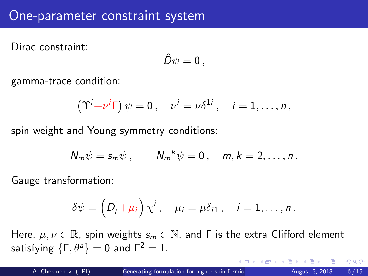### One-parameter constraint system

Dirac constraint:

$$
\hat{D}\psi=0\,,
$$

gamma-trace condition:

$$
(\Upsilon^i + \nu^i \Gamma) \psi = 0, \quad \nu^i = \nu \delta^{1i}, \quad i = 1, \ldots, n,
$$

spin weight and Young symmetry conditions:

$$
N_m \psi = s_m \psi , \qquad N_m^{\ k} \psi = 0 , \quad m, k = 2, \ldots, n .
$$

Gauge transformation:

$$
\delta \psi = \left( D_i^{\dagger} + \mu_i \right) \chi^i, \quad \mu_i = \mu \delta_{i1}, \quad i = 1, \ldots, n.
$$

Here,  $\mu, \nu \in \mathbb{R}$ , spin weights  $s_m \in \mathbb{N}$ , and  $\Gamma$  is the extra Clifford element satisfying  $\{\Gamma, \theta^a\} = 0$  and  $\Gamma^2 = 1$ .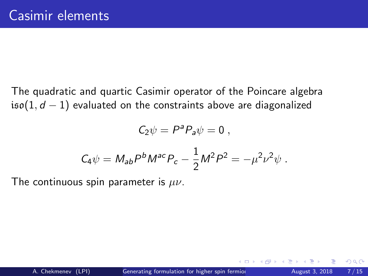The quadratic and quartic Casimir operator of the Poincare algebra iso(1,  $d - 1$ ) evaluated on the constraints above are diagonalized

$$
C_2\psi=P^aP_a\psi=0\ ,
$$

$$
C_4\psi = M_{ab}P^bM^{ac}P_c - \frac{1}{2}M^2P^2 = -\mu^2\nu^2\psi.
$$

The continuous spin parameter is  $\mu\nu$ .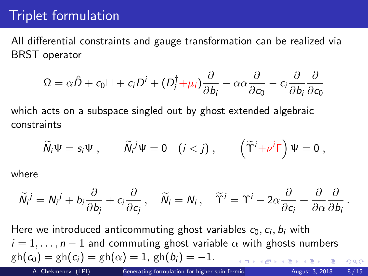# Triplet formulation

All differential constraints and gauge transformation can be realized via BRST operator

$$
\Omega = \alpha \hat{D} + c_0 \Box + c_i D^i + (D_i^{\dagger} + \mu_i) \frac{\partial}{\partial b_i} - \alpha \alpha \frac{\partial}{\partial c_0} - c_i \frac{\partial}{\partial b_i} \frac{\partial}{\partial c_0}
$$

which acts on a subspace singled out by ghost extended algebraic constraints

$$
\widetilde{N}_i\Psi = s_i\Psi , \qquad \widetilde{N}_i{}^j\Psi = 0 \quad (i < j) , \qquad \left( \widetilde{\Upsilon}^i + \nu^i \Gamma \right) \Psi = 0 ,
$$

where

$$
\widetilde{N}_i^j = N_i^j + b_i \frac{\partial}{\partial b_j} + c_i \frac{\partial}{\partial c_j}, \quad \widetilde{N}_i = N_i, \quad \widetilde{\Upsilon}^i = \Upsilon^i - 2\alpha \frac{\partial}{\partial c_i} + \frac{\partial}{\partial \alpha} \frac{\partial}{\partial b_i}
$$

Here we introduced anticommuting ghost variables  $c_0, c_i, b_i$  with  $i = 1, \ldots, n - 1$  and commuting ghost variable  $\alpha$  with ghosts numbers  $gh(c_0) = gh(c_i) = gh(\alpha) = 1, gh(b_i) = -1.$  $\Omega$ A. Chekmenev (LPI) [Generating formulation for higher spin fermions](#page-0-0) August 3, 2018 8/15

.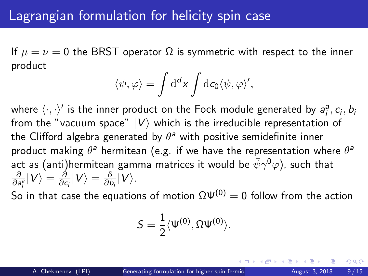If  $\mu = \nu = 0$  the BRST operator  $\Omega$  is symmetric with respect to the inner product

$$
\langle \psi, \varphi \rangle = \int d^d x \int d c_0 \langle \psi, \varphi \rangle',
$$

where  $\langle\cdot,\cdot\rangle'$  is the inner product on the Fock module generated by  $a_i^a, c_i, b_i$ from the "vacuum space"  $|V\rangle$  which is the irreducible representation of the Clifford algebra generated by  $\theta^a$  with positive semidefinite inner product making  $\theta^{\mathsf{a}}$  hermitean (e.g. if we have the representation where  $\theta^{\mathsf{a}}$ act as (anti)hermitean gamma matrices it would be  $\bar{\psi}\gamma^0\varphi$ ), such that ∂  $\frac{\partial}{\partial \textit{a}^{\textit{a}}_i}|V\rangle=\frac{\partial}{\partial \textit{c}}$  $\frac{\partial}{\partial \boldsymbol{c}_i}|\boldsymbol{V}\rangle=\frac{\partial}{\partial \boldsymbol{l}}$  $\frac{\partial}{\partial b_i}|V\rangle$ .

So in that case the equations of motion  $\Omega \Psi^{(0)} = 0$  follow from the action

$$
S=\frac{1}{2}\langle \Psi^{(0)},\Omega\Psi^{(0)}\rangle.
$$

つひい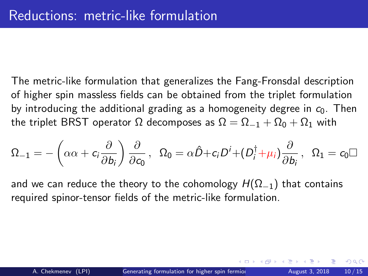The metric-like formulation that generalizes the Fang-Fronsdal description of higher spin massless fields can be obtained from the triplet formulation by introducing the additional grading as a homogeneity degree in  $c_0$ . Then the triplet BRST operator  $\Omega$  decomposes as  $\Omega = \Omega_{-1} + \Omega_0 + \Omega_1$  with

$$
\Omega_{-1}=-\left(\alpha\alpha+c_i\frac{\partial}{\partial b_i}\right)\frac{\partial}{\partial c_0}\,,~~\Omega_0=\alpha\hat{D}+c_iD^i+(D_i^\dagger+\mu_i)\frac{\partial}{\partial b_i}\,,~~\Omega_1=c_0\Box
$$

and we can reduce the theory to the cohomology  $H(\Omega_{-1})$  that contains required spinor-tensor fields of the metric-like formulation.

 $QQ$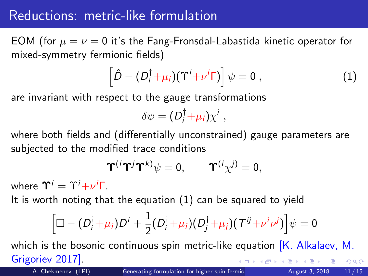# Reductions: metric-like formulation

EOM (for  $\mu = \nu = 0$  it's the Fang-Fronsdal-Labastida kinetic operator for mixed-symmetry fermionic fields)

<span id="page-10-0"></span>
$$
\left[\hat{D} - (D_i^{\dagger} + \mu_i)(\Upsilon^i + \nu^i \Gamma)\right]\psi = 0 , \qquad (1)
$$

are invariant with respect to the gauge transformations

$$
\delta\psi=(D_i^{\dagger}+\mu_i)\chi^i,
$$

where both fields and (differentially unconstrained) gauge parameters are subjected to the modified trace conditions

$$
\Upsilon^{(i}\Upsilon^{j}\Upsilon^{k)}\psi=0, \qquad \Upsilon^{(i}\chi^{j)}=0,
$$

where  $\Upsilon^i=\Upsilon^i{+}\nu^i\Gamma$ .

It is worth noting that the equation [\(1\)](#page-10-0) can be squared to yield

$$
\left[\Box - (D_i^{\dagger} + \mu_i)D^i + \frac{1}{2}(D_i^{\dagger} + \mu_i)(D_j^{\dagger} + \mu_j)(T^{ij} + \nu^i\nu^j)\right]\psi = 0
$$

which is the bosonic continuous spin metric-like equation  $[K,$  Alkalaev, M. Grigoriev 2017].  $QQQ$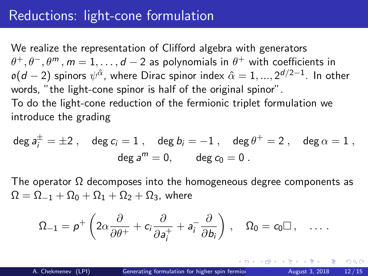# Reductions: light-cone formulation

We realize the representation of Clifford algebra with generators  $\theta^+, \theta^-, \theta^m, m=1,\ldots,d-2$  as polynomials in  $\theta^+$  with coefficients in  $\mathfrak{o}(d-2)$  spinors  $\psi^{\hat{\alpha}}$ , where Dirac spinor index  $\hat{\alpha}=1,...,2^{d/2-1}.$  In other words, "the light-cone spinor is half of the original spinor". To do the light-cone reduction of the fermionic triplet formulation we introduce the grading

$$
\deg a_i^{\pm} = \pm 2 \ , \quad \deg c_i = 1 \ , \quad \deg b_i = -1 \ , \quad \deg \theta^+ = 2 \ , \quad \deg \alpha = 1 \ ,
$$

$$
\deg a^m = 0, \qquad \deg c_0 = 0 \ .
$$

The operator  $\Omega$  decomposes into the homogeneous degree components as  $\Omega = \Omega_{-1} + \Omega_0 + \Omega_1 + \Omega_2 + \Omega_3$ , where

$$
\Omega_{-1} = p^+ \left( 2\alpha \frac{\partial}{\partial \theta^+} + c_i \frac{\partial}{\partial a_i^+} + a_i^- \frac{\partial}{\partial b_i} \right) , \quad \Omega_0 = c_0 \Box \,, \quad \ldots \,.
$$

 $QQ$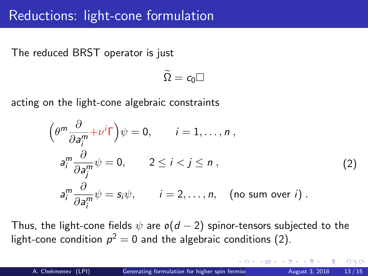The reduced BRST operator is just

$$
\widetilde{\Omega}=c_0\Box
$$

acting on the light-cone algebraic constraints

<span id="page-12-0"></span>
$$
\left(\theta^m \frac{\partial}{\partial a_i^m} + \nu^i \Gamma\right) \psi = 0, \qquad i = 1, ..., n,
$$
  
\n
$$
a_i^m \frac{\partial}{\partial a_j^m} \psi = 0, \qquad 2 \le i < j \le n,
$$
  
\n
$$
a_i^m \frac{\partial}{\partial a_i^m} \psi = s_i \psi, \qquad i = 2, ..., n, \quad \text{(no sum over } i).
$$
  
\n(2)

Thus, the light-cone fields  $\psi$  are  $o(d-2)$  spinor-tensors subjected to the light-cone condition  $p^2=0$  and the algebraic conditions [\(2\)](#page-12-0).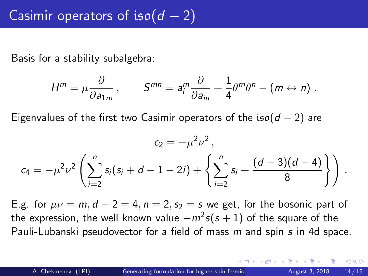Basis for a stability subalgebra:

$$
H^m = \mu \frac{\partial}{\partial a_{1m}}\,,\qquad S^{mn} = a_i^m \frac{\partial}{\partial a_{in}} + \frac{1}{4} \theta^m \theta^n - (m \leftrightarrow n)\;.
$$

Eigenvalues of the first two Casimir operators of the iso( $d - 2$ ) are

$$
c_2 = -\mu^2 \nu^2,
$$
  

$$
c_4 = -\mu^2 \nu^2 \left( \sum_{i=2}^n s_i (s_i + d - 1 - 2i) + \left\{ \sum_{i=2}^n s_i + \frac{(d-3)(d-4)}{8} \right\} \right).
$$

E.g. for  $\mu\nu = m$ ,  $d - 2 = 4$ ,  $n = 2$ ,  $s_2 = s$  we get, for the bosonic part of the expression, the well known value  $-m^2 s(s+1)$  of the square of the Pauli-Lubanski pseudovector for a field of mass m and spin s in 4d space.